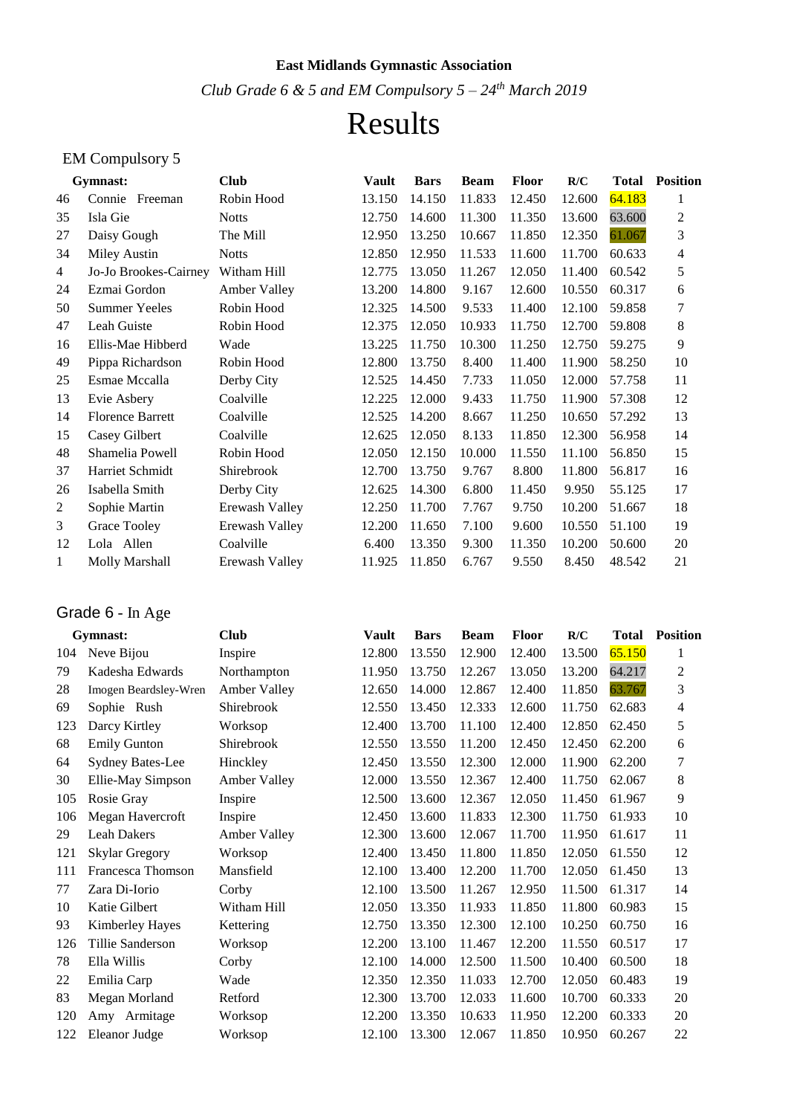#### **East Midlands Gymnastic Association**

*Club Grade 6 & 5 and EM Compulsory 5 – 24th March 2019*

# Results

### EM Compulsory 5

|                | Gymnast:                | <b>Club</b>    | Vault  | <b>Bars</b> | <b>Beam</b> | <b>Floor</b> | R/C    | Total  | <b>Position</b> |
|----------------|-------------------------|----------------|--------|-------------|-------------|--------------|--------|--------|-----------------|
| 46             | Connie<br>Freeman       | Robin Hood     | 13.150 | 14.150      | 11.833      | 12.450       | 12.600 | 64.183 | 1               |
| 35             | Isla Gie                | <b>Notts</b>   | 12.750 | 14.600      | 11.300      | 11.350       | 13.600 | 63.600 | 2               |
| 27             | Daisy Gough             | The Mill       | 12.950 | 13.250      | 10.667      | 11.850       | 12.350 | 61.067 | 3               |
| 34             | Miley Austin            | <b>Notts</b>   | 12.850 | 12.950      | 11.533      | 11.600       | 11.700 | 60.633 | 4               |
| 4              | Jo-Jo Brookes-Cairney   | Witham Hill    | 12.775 | 13.050      | 11.267      | 12.050       | 11.400 | 60.542 | 5               |
| 24             | Ezmai Gordon            | Amber Valley   | 13.200 | 14.800      | 9.167       | 12.600       | 10.550 | 60.317 | 6               |
| 50             | <b>Summer Yeeles</b>    | Robin Hood     | 12.325 | 14.500      | 9.533       | 11.400       | 12.100 | 59.858 | 7               |
| 47             | Leah Guiste             | Robin Hood     | 12.375 | 12.050      | 10.933      | 11.750       | 12.700 | 59.808 | 8               |
| 16             | Ellis-Mae Hibberd       | Wade           | 13.225 | 11.750      | 10.300      | 11.250       | 12.750 | 59.275 | 9               |
| 49             | Pippa Richardson        | Robin Hood     | 12.800 | 13.750      | 8.400       | 11.400       | 11.900 | 58.250 | 10              |
| 25             | Esmae Mccalla           | Derby City     | 12.525 | 14.450      | 7.733       | 11.050       | 12.000 | 57.758 | 11              |
| 13             | Evie Asbery             | Coalville      | 12.225 | 12.000      | 9.433       | 11.750       | 11.900 | 57.308 | 12              |
| 14             | <b>Florence Barrett</b> | Coalville      | 12.525 | 14.200      | 8.667       | 11.250       | 10.650 | 57.292 | 13              |
| 15             | Casey Gilbert           | Coalville      | 12.625 | 12.050      | 8.133       | 11.850       | 12.300 | 56.958 | 14              |
| 48             | Shamelia Powell         | Robin Hood     | 12.050 | 12.150      | 10.000      | 11.550       | 11.100 | 56.850 | 15              |
| 37             | <b>Harriet Schmidt</b>  | Shirebrook     | 12.700 | 13.750      | 9.767       | 8.800        | 11.800 | 56.817 | 16              |
| 26             | Isabella Smith          | Derby City     | 12.625 | 14.300      | 6.800       | 11.450       | 9.950  | 55.125 | 17              |
| $\overline{c}$ | Sophie Martin           | Erewash Valley | 12.250 | 11.700      | 7.767       | 9.750        | 10.200 | 51.667 | 18              |
| 3              | Grace Tooley            | Erewash Valley | 12.200 | 11.650      | 7.100       | 9.600        | 10.550 | 51.100 | 19              |
| 12             | Lola Allen              | Coalville      | 6.400  | 13.350      | 9.300       | 11.350       | 10.200 | 50.600 | 20              |
| 1              | Molly Marshall          | Erewash Valley | 11.925 | 11.850      | 6.767       | 9.550        | 8.450  | 48.542 | 21              |

## Grade 6 - In Age

|     | Gymnast:                | <b>Club</b>  | <b>Vault</b> | <b>Bars</b> | <b>Beam</b> | <b>Floor</b> | R/C    | <b>Total</b> | <b>Position</b> |
|-----|-------------------------|--------------|--------------|-------------|-------------|--------------|--------|--------------|-----------------|
| 104 | Neve Bijou              | Inspire      | 12.800       | 13.550      | 12.900      | 12.400       | 13.500 | 65.150       | 1               |
| 79  | Kadesha Edwards         | Northampton  | 11.950       | 13.750      | 12.267      | 13.050       | 13.200 | 64.217       | 2               |
| 28  | Imogen Beardsley-Wren   | Amber Valley | 12.650       | 14.000      | 12.867      | 12.400       | 11.850 | 63.767       | 3               |
| 69  | Sophie Rush             | Shirebrook   | 12.550       | 13.450      | 12.333      | 12.600       | 11.750 | 62.683       | 4               |
| 123 | Darcy Kirtley           | Worksop      | 12.400       | 13.700      | 11.100      | 12.400       | 12.850 | 62.450       | 5               |
| 68  | <b>Emily Gunton</b>     | Shirebrook   | 12.550       | 13.550      | 11.200      | 12.450       | 12.450 | 62.200       | 6               |
| 64  | <b>Sydney Bates-Lee</b> | Hinckley     | 12.450       | 13.550      | 12.300      | 12.000       | 11.900 | 62.200       | 7               |
| 30  | Ellie-May Simpson       | Amber Valley | 12.000       | 13.550      | 12.367      | 12.400       | 11.750 | 62.067       | 8               |
| 105 | Rosie Gray              | Inspire      | 12.500       | 13.600      | 12.367      | 12.050       | 11.450 | 61.967       | 9               |
| 106 | Megan Havercroft        | Inspire      | 12.450       | 13.600      | 11.833      | 12.300       | 11.750 | 61.933       | 10              |
| 29  | <b>Leah Dakers</b>      | Amber Valley | 12.300       | 13.600      | 12.067      | 11.700       | 11.950 | 61.617       | 11              |
| 121 | <b>Skylar Gregory</b>   | Worksop      | 12.400       | 13.450      | 11.800      | 11.850       | 12.050 | 61.550       | 12              |
| 111 | Francesca Thomson       | Mansfield    | 12.100       | 13.400      | 12.200      | 11.700       | 12.050 | 61.450       | 13              |
| 77  | Zara Di-Iorio           | Corby        | 12.100       | 13.500      | 11.267      | 12.950       | 11.500 | 61.317       | 14              |
| 10  | Katie Gilbert           | Witham Hill  | 12.050       | 13.350      | 11.933      | 11.850       | 11.800 | 60.983       | 15              |
| 93  | Kimberley Hayes         | Kettering    | 12.750       | 13.350      | 12.300      | 12.100       | 10.250 | 60.750       | 16              |
| 126 | Tillie Sanderson        | Worksop      | 12.200       | 13.100      | 11.467      | 12.200       | 11.550 | 60.517       | 17              |
| 78  | Ella Willis             | Corby        | 12.100       | 14.000      | 12.500      | 11.500       | 10.400 | 60.500       | 18              |
| 22  | Emilia Carp             | Wade         | 12.350       | 12.350      | 11.033      | 12.700       | 12.050 | 60.483       | 19              |
| 83  | Megan Morland           | Retford      | 12.300       | 13.700      | 12.033      | 11.600       | 10.700 | 60.333       | 20              |
| 120 | Amy Armitage            | Worksop      | 12.200       | 13.350      | 10.633      | 11.950       | 12.200 | 60.333       | 20              |
| 122 | Eleanor Judge           | Worksop      | 12.100       | 13.300      | 12.067      | 11.850       | 10.950 | 60.267       | 22              |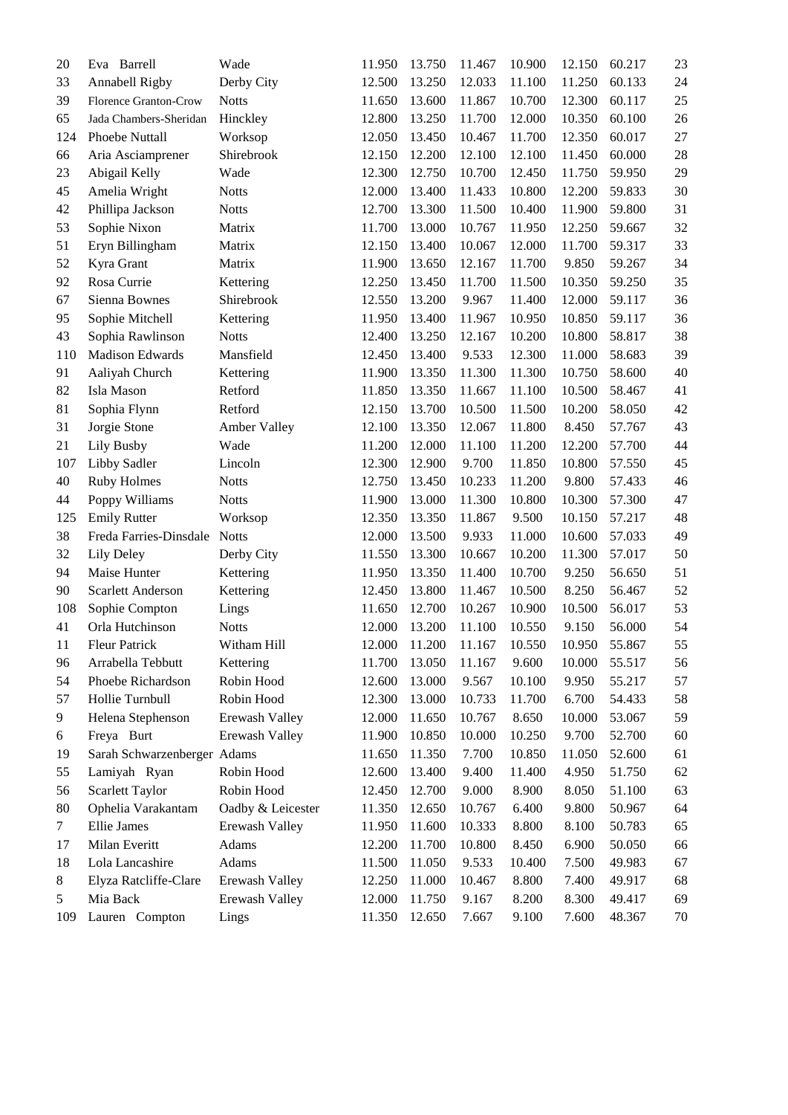| 20             | Eva Barrell                  | Wade              | 11.950 | 13.750 | 11.467 | 10.900 | 12.150 | 60.217 | 23     |
|----------------|------------------------------|-------------------|--------|--------|--------|--------|--------|--------|--------|
| 33             | Annabell Rigby               | Derby City        | 12.500 | 13.250 | 12.033 | 11.100 | 11.250 | 60.133 | 24     |
| 39             | Florence Granton-Crow        | <b>Notts</b>      | 11.650 | 13.600 | 11.867 | 10.700 | 12.300 | 60.117 | 25     |
| 65             | Jada Chambers-Sheridan       | Hinckley          | 12.800 | 13.250 | 11.700 | 12.000 | 10.350 | 60.100 | 26     |
| 124            | Phoebe Nuttall               | Worksop           | 12.050 | 13.450 | 10.467 | 11.700 | 12.350 | 60.017 | 27     |
| 66             | Aria Asciamprener            | Shirebrook        | 12.150 | 12.200 | 12.100 | 12.100 | 11.450 | 60.000 | 28     |
| 23             | Abigail Kelly                | Wade              | 12.300 | 12.750 | 10.700 | 12.450 | 11.750 | 59.950 | 29     |
| 45             | Amelia Wright                | <b>Notts</b>      | 12.000 | 13.400 | 11.433 | 10.800 | 12.200 | 59.833 | 30     |
| 42             | Phillipa Jackson             | <b>Notts</b>      | 12.700 | 13.300 | 11.500 | 10.400 | 11.900 | 59.800 | 31     |
| 53             | Sophie Nixon                 | Matrix            | 11.700 | 13.000 | 10.767 | 11.950 | 12.250 | 59.667 | 32     |
| 51             | Eryn Billingham              | Matrix            | 12.150 | 13.400 | 10.067 | 12.000 | 11.700 | 59.317 | 33     |
| 52             | Kyra Grant                   | Matrix            | 11.900 | 13.650 | 12.167 | 11.700 | 9.850  | 59.267 | 34     |
| 92             | Rosa Currie                  | Kettering         | 12.250 | 13.450 | 11.700 | 11.500 | 10.350 | 59.250 | 35     |
| 67             | Sienna Bownes                | Shirebrook        | 12.550 | 13.200 | 9.967  | 11.400 | 12.000 | 59.117 | 36     |
| 95             | Sophie Mitchell              | Kettering         | 11.950 | 13.400 | 11.967 | 10.950 | 10.850 | 59.117 | 36     |
| 43             | Sophia Rawlinson             | <b>Notts</b>      | 12.400 | 13.250 | 12.167 | 10.200 | 10.800 | 58.817 | 38     |
| 110            | <b>Madison Edwards</b>       | Mansfield         | 12.450 | 13.400 | 9.533  | 12.300 | 11.000 | 58.683 | 39     |
| 91             | Aaliyah Church               | Kettering         | 11.900 | 13.350 | 11.300 | 11.300 | 10.750 | 58.600 | 40     |
| 82             | Isla Mason                   | Retford           | 11.850 | 13.350 | 11.667 | 11.100 | 10.500 | 58.467 | 41     |
| 81             | Sophia Flynn                 | Retford           | 12.150 | 13.700 | 10.500 | 11.500 | 10.200 | 58.050 | 42     |
| 31             | Jorgie Stone                 | Amber Valley      | 12.100 | 13.350 | 12.067 | 11.800 | 8.450  | 57.767 | 43     |
| 21             | Lily Busby                   | Wade              | 11.200 | 12.000 | 11.100 | 11.200 | 12.200 | 57.700 | 44     |
| 107            | Libby Sadler                 | Lincoln           | 12.300 | 12.900 | 9.700  | 11.850 | 10.800 | 57.550 | 45     |
| 40             | <b>Ruby Holmes</b>           | <b>Notts</b>      | 12.750 | 13.450 | 10.233 | 11.200 | 9.800  | 57.433 | 46     |
| 44             | Poppy Williams               | <b>Notts</b>      | 11.900 | 13.000 | 11.300 | 10.800 | 10.300 | 57.300 | 47     |
| 125            | <b>Emily Rutter</b>          | Worksop           | 12.350 | 13.350 | 11.867 | 9.500  | 10.150 | 57.217 | 48     |
| 38             | Freda Farries-Dinsdale Notts |                   | 12.000 | 13.500 | 9.933  | 11.000 | 10.600 | 57.033 | 49     |
| 32             | Lily Deley                   | Derby City        | 11.550 | 13.300 | 10.667 | 10.200 | 11.300 | 57.017 | 50     |
| 94             | Maise Hunter                 | Kettering         | 11.950 | 13.350 | 11.400 | 10.700 | 9.250  | 56.650 | 51     |
| 90             | Scarlett Anderson            | Kettering         | 12.450 | 13.800 | 11.467 | 10.500 | 8.250  | 56.467 | 52     |
| 108            | Sophie Compton               | Lings             | 11.650 | 12.700 | 10.267 | 10.900 | 10.500 | 56.017 | 53     |
| 41             | Orla Hutchinson              | <b>Notts</b>      | 12.000 | 13.200 | 11.100 | 10.550 | 9.150  | 56.000 | 54     |
| 11             | <b>Fleur Patrick</b>         | Witham Hill       | 12.000 | 11.200 | 11.167 | 10.550 | 10.950 | 55.867 | 55     |
| 96             | Arrabella Tebbutt            | Kettering         | 11.700 | 13.050 | 11.167 | 9.600  | 10.000 | 55.517 | 56     |
| 54             | Phoebe Richardson            | Robin Hood        | 12.600 | 13.000 | 9.567  | 10.100 | 9.950  | 55.217 | 57     |
| 57             | Hollie Turnbull              | Robin Hood        | 12.300 | 13.000 | 10.733 | 11.700 | 6.700  | 54.433 | 58     |
| 9              | Helena Stephenson            | Erewash Valley    | 12.000 | 11.650 | 10.767 | 8.650  | 10.000 | 53.067 | 59     |
| 6              | Freya Burt                   | Erewash Valley    | 11.900 | 10.850 | 10.000 | 10.250 | 9.700  | 52.700 | 60     |
| 19             | Sarah Schwarzenberger Adams  |                   | 11.650 | 11.350 | 7.700  | 10.850 | 11.050 | 52.600 | 61     |
| 55             | Lamiyah Ryan                 | Robin Hood        | 12.600 | 13.400 | 9.400  | 11.400 | 4.950  | 51.750 | 62     |
| 56             | <b>Scarlett Taylor</b>       | Robin Hood        | 12.450 | 12.700 | 9.000  | 8.900  | 8.050  | 51.100 | 63     |
| 80             | Ophelia Varakantam           | Oadby & Leicester | 11.350 | 12.650 | 10.767 | 6.400  | 9.800  | 50.967 | 64     |
| $\overline{7}$ | Ellie James                  | Erewash Valley    | 11.950 | 11.600 | 10.333 | 8.800  | 8.100  | 50.783 | 65     |
| 17             | Milan Everitt                | Adams             | 12.200 | 11.700 | 10.800 | 8.450  | 6.900  | 50.050 | 66     |
| 18             | Lola Lancashire              | Adams             | 11.500 | 11.050 | 9.533  | 10.400 | 7.500  | 49.983 | 67     |
| 8              | Elyza Ratcliffe-Clare        | Erewash Valley    | 12.250 | 11.000 | 10.467 | 8.800  | 7.400  | 49.917 | 68     |
| 5              | Mia Back                     | Erewash Valley    | 12.000 | 11.750 | 9.167  | 8.200  | 8.300  | 49.417 | 69     |
| 109            | Lauren Compton               | Lings             | 11.350 | 12.650 | 7.667  | 9.100  | 7.600  | 48.367 | $70\,$ |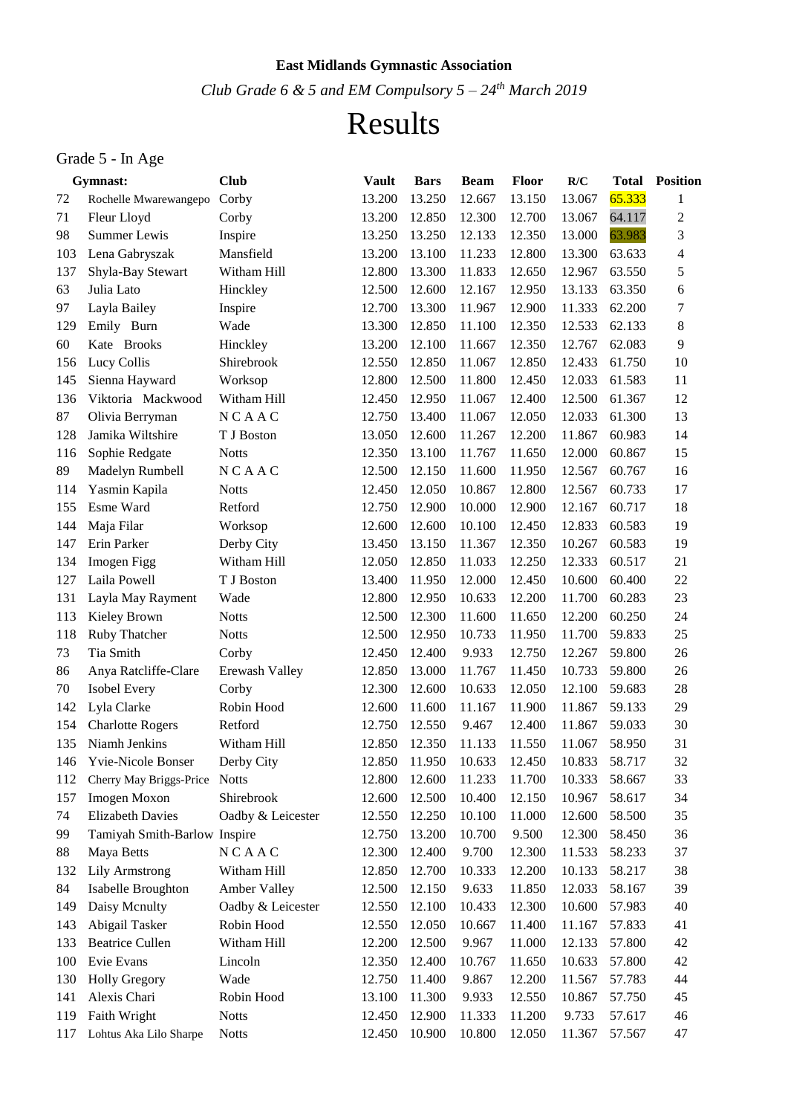### **East Midlands Gymnastic Association**

*Club Grade 6 & 5 and EM Compulsory 5 – 24th March 2019*

# Results

## Grade 5 - In Age

|     | Gymnast:                     | <b>Club</b>       | <b>Vault</b> | <b>Bars</b> | <b>Beam</b> | <b>Floor</b> | R/C    | <b>Total</b> | <b>Position</b> |
|-----|------------------------------|-------------------|--------------|-------------|-------------|--------------|--------|--------------|-----------------|
| 72  | Rochelle Mwarewangepo        | Corby             | 13.200       | 13.250      | 12.667      | 13.150       | 13.067 | 65.333       | 1               |
| 71  | Fleur Lloyd                  | Corby             | 13.200       | 12.850      | 12.300      | 12.700       | 13.067 | 64.117       | $\overline{c}$  |
| 98  | Summer Lewis                 | Inspire           | 13.250       | 13.250      | 12.133      | 12.350       | 13.000 | 63.983       | 3               |
| 103 | Lena Gabryszak               | Mansfield         | 13.200       | 13.100      | 11.233      | 12.800       | 13.300 | 63.633       | 4               |
| 137 | Shyla-Bay Stewart            | Witham Hill       | 12.800       | 13.300      | 11.833      | 12.650       | 12.967 | 63.550       | 5               |
| 63  | Julia Lato                   | Hinckley          | 12.500       | 12.600      | 12.167      | 12.950       | 13.133 | 63.350       | 6               |
| 97  | Layla Bailey                 | Inspire           | 12.700       | 13.300      | 11.967      | 12.900       | 11.333 | 62.200       | 7               |
| 129 | Emily Burn                   | Wade              | 13.300       | 12.850      | 11.100      | 12.350       | 12.533 | 62.133       | 8               |
| 60  | Kate Brooks                  | Hinckley          | 13.200       | 12.100      | 11.667      | 12.350       | 12.767 | 62.083       | 9               |
| 156 | Lucy Collis                  | Shirebrook        | 12.550       | 12.850      | 11.067      | 12.850       | 12.433 | 61.750       | 10              |
| 145 | Sienna Hayward               | Worksop           | 12.800       | 12.500      | 11.800      | 12.450       | 12.033 | 61.583       | 11              |
| 136 | Viktoria Mackwood            | Witham Hill       | 12.450       | 12.950      | 11.067      | 12.400       | 12.500 | 61.367       | 12              |
| 87  | Olivia Berryman              | NCAAC             | 12.750       | 13.400      | 11.067      | 12.050       | 12.033 | 61.300       | 13              |
| 128 | Jamika Wiltshire             | T J Boston        | 13.050       | 12.600      | 11.267      | 12.200       | 11.867 | 60.983       | 14              |
| 116 | Sophie Redgate               | <b>Notts</b>      | 12.350       | 13.100      | 11.767      | 11.650       | 12.000 | 60.867       | 15              |
| 89  | Madelyn Rumbell              | <b>NCAAC</b>      | 12.500       | 12.150      | 11.600      | 11.950       | 12.567 | 60.767       | 16              |
| 114 | Yasmin Kapila                | <b>Notts</b>      | 12.450       | 12.050      | 10.867      | 12.800       | 12.567 | 60.733       | 17              |
| 155 | Esme Ward                    | Retford           | 12.750       | 12.900      | 10.000      | 12.900       | 12.167 | 60.717       | 18              |
| 144 | Maja Filar                   | Worksop           | 12.600       | 12.600      | 10.100      | 12.450       | 12.833 | 60.583       | 19              |
| 147 | Erin Parker                  | Derby City        | 13.450       | 13.150      | 11.367      | 12.350       | 10.267 | 60.583       | 19              |
| 134 | Imogen Figg                  | Witham Hill       | 12.050       | 12.850      | 11.033      | 12.250       | 12.333 | 60.517       | 21              |
| 127 | Laila Powell                 | T J Boston        | 13.400       | 11.950      | 12.000      | 12.450       | 10.600 | 60.400       | 22              |
| 131 | Layla May Rayment            | Wade              | 12.800       | 12.950      | 10.633      | 12.200       | 11.700 | 60.283       | 23              |
| 113 | Kieley Brown                 | <b>Notts</b>      | 12.500       | 12.300      | 11.600      | 11.650       | 12.200 | 60.250       | 24              |
| 118 | Ruby Thatcher                | <b>Notts</b>      | 12.500       | 12.950      | 10.733      | 11.950       | 11.700 | 59.833       | 25              |
| 73  | Tia Smith                    | Corby             | 12.450       | 12.400      | 9.933       | 12.750       | 12.267 | 59.800       | 26              |
| 86  | Anya Ratcliffe-Clare         | Erewash Valley    | 12.850       | 13.000      | 11.767      | 11.450       | 10.733 | 59.800       | 26              |
| 70  | Isobel Every                 | Corby             | 12.300       | 12.600      | 10.633      | 12.050       | 12.100 | 59.683       | 28              |
| 142 | Lyla Clarke                  | Robin Hood        | 12.600       | 11.600      | 11.167      | 11.900       | 11.867 | 59.133       | 29              |
| 154 | <b>Charlotte Rogers</b>      | Retford           | 12.750       | 12.550      | 9.467       | 12.400       | 11.867 | 59.033       | 30              |
| 135 | Niamh Jenkins                | Witham Hill       | 12.850       | 12.350      | 11.133      | 11.550       | 11.067 | 58.950       | 31              |
| 146 | <b>Yvie-Nicole Bonser</b>    | Derby City        | 12.850       | 11.950      | 10.633      | 12.450       | 10.833 | 58.717       | 32              |
| 112 | Cherry May Briggs-Price      | <b>Notts</b>      | 12.800       | 12.600      | 11.233      | 11.700       | 10.333 | 58.667       | 33              |
| 157 | Imogen Moxon                 | Shirebrook        | 12.600       | 12.500      | 10.400      | 12.150       | 10.967 | 58.617       | 34              |
| 74  | <b>Elizabeth Davies</b>      | Oadby & Leicester | 12.550       | 12.250      | 10.100      | 11.000       | 12.600 | 58.500       | 35              |
| 99  | Tamiyah Smith-Barlow Inspire |                   | 12.750       | 13.200      | 10.700      | 9.500        | 12.300 | 58.450       | 36              |
| 88  | Maya Betts                   | <b>NCAAC</b>      | 12.300       | 12.400      | 9.700       | 12.300       | 11.533 | 58.233       | 37              |
| 132 | <b>Lily Armstrong</b>        | Witham Hill       | 12.850       | 12.700      | 10.333      | 12.200       | 10.133 | 58.217       | 38              |
| 84  | Isabelle Broughton           | Amber Valley      | 12.500       | 12.150      | 9.633       | 11.850       | 12.033 | 58.167       | 39              |
| 149 | Daisy Mcnulty                | Oadby & Leicester | 12.550       | 12.100      | 10.433      | 12.300       | 10.600 | 57.983       | 40              |
| 143 | Abigail Tasker               | Robin Hood        | 12.550       | 12.050      | 10.667      | 11.400       | 11.167 | 57.833       | 41              |
| 133 | <b>Beatrice Cullen</b>       | Witham Hill       | 12.200       | 12.500      | 9.967       | 11.000       | 12.133 | 57.800       | 42              |
| 100 | Evie Evans                   | Lincoln           | 12.350       | 12.400      | 10.767      | 11.650       | 10.633 | 57.800       | 42              |
| 130 | <b>Holly Gregory</b>         | Wade              | 12.750       | 11.400      | 9.867       | 12.200       | 11.567 | 57.783       | 44              |
| 141 | Alexis Chari                 | Robin Hood        | 13.100       | 11.300      | 9.933       | 12.550       | 10.867 | 57.750       | 45              |
| 119 | Faith Wright                 | <b>Notts</b>      | 12.450       | 12.900      | 11.333      | 11.200       | 9.733  | 57.617       | 46              |
| 117 | Lohtus Aka Lilo Sharpe       | <b>Notts</b>      | 12.450       | 10.900      | 10.800      | 12.050       | 11.367 | 57.567       | 47              |